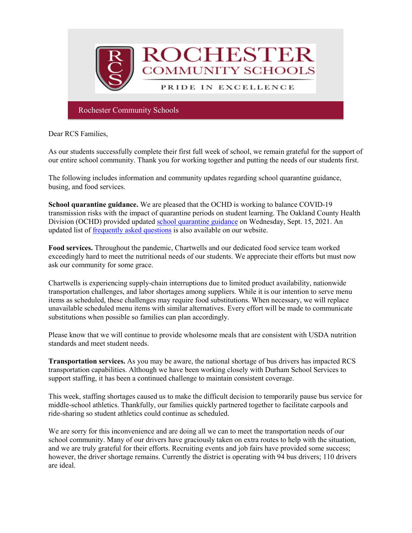

Dear RCS Families,

As our students successfully complete their first full week of school, we remain grateful for the support of our entire school community. Thank you for working together and putting the needs of our students first.

The following includes information and community updates regarding school quarantine guidance, busing, and food services.

**School quarantine guidance.** We are pleased that the OCHD is working to balance COVID-19 transmission risks with the impact of quarantine periods on student learning. The Oakland County Health Division (OCHD) provided updated [school quarantine guidance](http://track.spe.schoolmessenger.com/f/a/RIBCQ2BTGzxvFfHtuqZc_A%7E%7E/AAAAAQA%7E/RgRjJfA8P0RraHR0cHM6Ly93d3cub2FrZ292LmNvbS9jb3ZpZC9yZXNvdXJjZXMvZWR1Y2F0aW9uL0RvY3VtZW50cy9DVjE5JTIwUXVhcmFudGluZSUyMFJlY29tbWVuZGF0aW9uJTIwSGFuZG91dC5wZGZXB3NjaG9vbG1CCmFBvLxEYSn6OsRSG3NhaGVhcm5Acm9jaGVzdGVyLmsxMi5taS51c1gEAAAAAQ%7E%7E) on Wednesday, Sept. 15, 2021. An updated list of [frequently asked questions](http://track.spe.schoolmessenger.com/f/a/RLVbda3i07rn_PIfjNUKnQ%7E%7E/AAAAAQA%7E/RgRjJfA8P0Q7aHR0cHM6Ly93d3cucm9jaGVzdGVyLmsxMi5taS51cy9hY2FkZW1pY3MvY292aWQtMTktcmVzcG9uc2VXB3NjaG9vbG1CCmFBvLxEYSn6OsRSG3NhaGVhcm5Acm9jaGVzdGVyLmsxMi5taS51c1gEAAAAAQ%7E%7E) is also available on our website.

**Food services.** Throughout the pandemic, Chartwells and our dedicated food service team worked exceedingly hard to meet the nutritional needs of our students. We appreciate their efforts but must now ask our community for some grace.

Chartwells is experiencing supply-chain interruptions due to limited product availability, nationwide transportation challenges, and labor shortages among suppliers. While it is our intention to serve menu items as scheduled, these challenges may require food substitutions. When necessary, we will replace unavailable scheduled menu items with similar alternatives. Every effort will be made to communicate substitutions when possible so families can plan accordingly.

Please know that we will continue to provide wholesome meals that are consistent with USDA nutrition standards and meet student needs.

**Transportation services.** As you may be aware, the national shortage of bus drivers has impacted RCS transportation capabilities. Although we have been working closely with Durham School Services to support staffing, it has been a continued challenge to maintain consistent coverage.

This week, staffing shortages caused us to make the difficult decision to temporarily pause bus service for middle-school athletics. Thankfully, our families quickly partnered together to facilitate carpools and ride-sharing so student athletics could continue as scheduled.

We are sorry for this inconvenience and are doing all we can to meet the transportation needs of our school community. Many of our drivers have graciously taken on extra routes to help with the situation, and we are truly grateful for their efforts. Recruiting events and job fairs have provided some success; however, the driver shortage remains. Currently the district is operating with 94 bus drivers; 110 drivers are ideal.